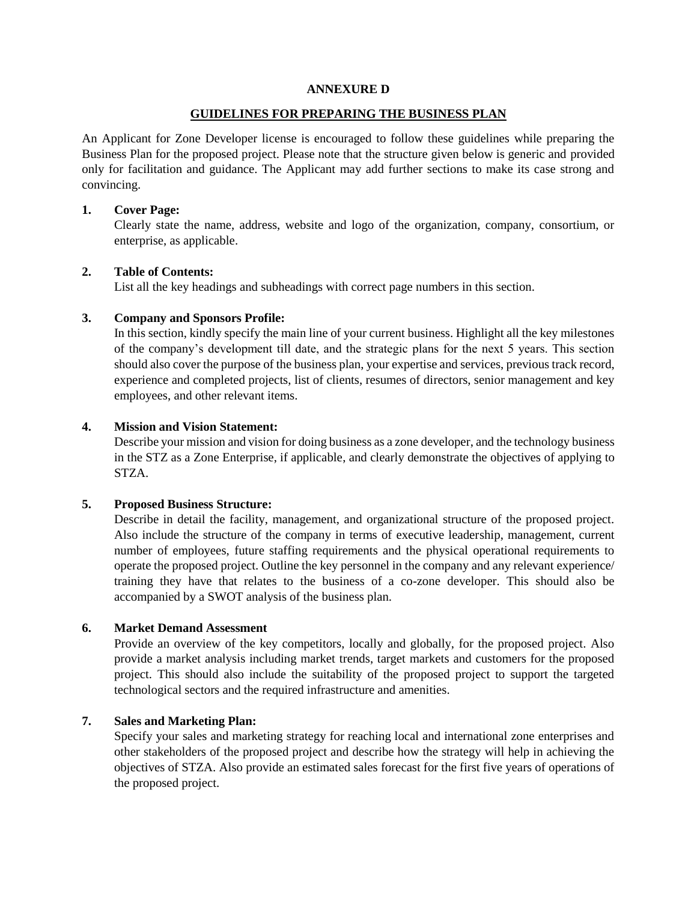#### **ANNEXURE D**

#### **GUIDELINES FOR PREPARING THE BUSINESS PLAN**

An Applicant for Zone Developer license is encouraged to follow these guidelines while preparing the Business Plan for the proposed project. Please note that the structure given below is generic and provided only for facilitation and guidance. The Applicant may add further sections to make its case strong and convincing.

### **1. Cover Page:**

Clearly state the name, address, website and logo of the organization, company, consortium, or enterprise, as applicable.

## **2. Table of Contents:**

List all the key headings and subheadings with correct page numbers in this section.

## **3. Company and Sponsors Profile:**

In this section, kindly specify the main line of your current business. Highlight all the key milestones of the company's development till date, and the strategic plans for the next 5 years. This section should also cover the purpose of the business plan, your expertise and services, previous track record, experience and completed projects, list of clients, resumes of directors, senior management and key employees, and other relevant items.

## **4. Mission and Vision Statement:**

Describe your mission and vision for doing business as a zone developer, and the technology business in the STZ as a Zone Enterprise, if applicable, and clearly demonstrate the objectives of applying to STZA.

## **5. Proposed Business Structure:**

Describe in detail the facility, management, and organizational structure of the proposed project. Also include the structure of the company in terms of executive leadership, management, current number of employees, future staffing requirements and the physical operational requirements to operate the proposed project. Outline the key personnel in the company and any relevant experience/ training they have that relates to the business of a co-zone developer. This should also be accompanied by a SWOT analysis of the business plan.

#### **6. Market Demand Assessment**

Provide an overview of the key competitors, locally and globally, for the proposed project. Also provide a market analysis including market trends, target markets and customers for the proposed project. This should also include the suitability of the proposed project to support the targeted technological sectors and the required infrastructure and amenities.

## **7. Sales and Marketing Plan:**

Specify your sales and marketing strategy for reaching local and international zone enterprises and other stakeholders of the proposed project and describe how the strategy will help in achieving the objectives of STZA. Also provide an estimated sales forecast for the first five years of operations of the proposed project.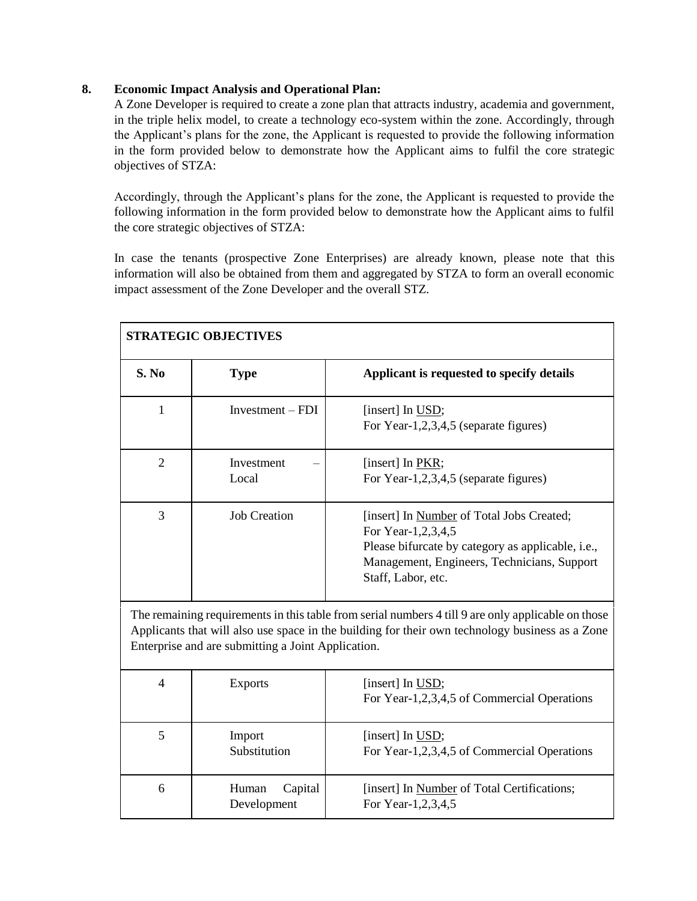## **8. Economic Impact Analysis and Operational Plan:**

A Zone Developer is required to create a zone plan that attracts industry, academia and government, in the triple helix model, to create a technology eco-system within the zone. Accordingly, through the Applicant's plans for the zone, the Applicant is requested to provide the following information in the form provided below to demonstrate how the Applicant aims to fulfil the core strategic objectives of STZA:

Accordingly, through the Applicant's plans for the zone, the Applicant is requested to provide the following information in the form provided below to demonstrate how the Applicant aims to fulfil the core strategic objectives of STZA:

In case the tenants (prospective Zone Enterprises) are already known, please note that this information will also be obtained from them and aggregated by STZA to form an overall economic impact assessment of the Zone Developer and the overall STZ.

| <b>STRATEGIC OBJECTIVES</b>                                                                                                                                                                                                                                 |                                 |                                                                                                                                                                                                   |  |
|-------------------------------------------------------------------------------------------------------------------------------------------------------------------------------------------------------------------------------------------------------------|---------------------------------|---------------------------------------------------------------------------------------------------------------------------------------------------------------------------------------------------|--|
| S. No                                                                                                                                                                                                                                                       | <b>Type</b>                     | Applicant is requested to specify details                                                                                                                                                         |  |
| $\mathbf{1}$                                                                                                                                                                                                                                                | Investment $-$ FDI              | [insert] In USD;<br>For Year-1,2,3,4,5 (separate figures)                                                                                                                                         |  |
| $\overline{2}$                                                                                                                                                                                                                                              | Investment<br>Local             | [insert] In PKR;<br>For Year-1,2,3,4,5 (separate figures)                                                                                                                                         |  |
| 3                                                                                                                                                                                                                                                           | <b>Job Creation</b>             | [insert] In Number of Total Jobs Created;<br>For Year-1,2,3,4,5<br>Please bifurcate by category as applicable, <i>i.e.</i> ,<br>Management, Engineers, Technicians, Support<br>Staff, Labor, etc. |  |
| The remaining requirements in this table from serial numbers 4 till 9 are only applicable on those<br>Applicants that will also use space in the building for their own technology business as a Zone<br>Enterprise and are submitting a Joint Application. |                                 |                                                                                                                                                                                                   |  |
| $\overline{4}$                                                                                                                                                                                                                                              | <b>Exports</b>                  | [insert] In USD;<br>For Year-1,2,3,4,5 of Commercial Operations                                                                                                                                   |  |
| 5                                                                                                                                                                                                                                                           | Import<br>Substitution          | [insert] In USD;<br>For Year-1,2,3,4,5 of Commercial Operations                                                                                                                                   |  |
| 6                                                                                                                                                                                                                                                           | Human<br>Capital<br>Development | [insert] In Number of Total Certifications;<br>For Year-1,2,3,4,5                                                                                                                                 |  |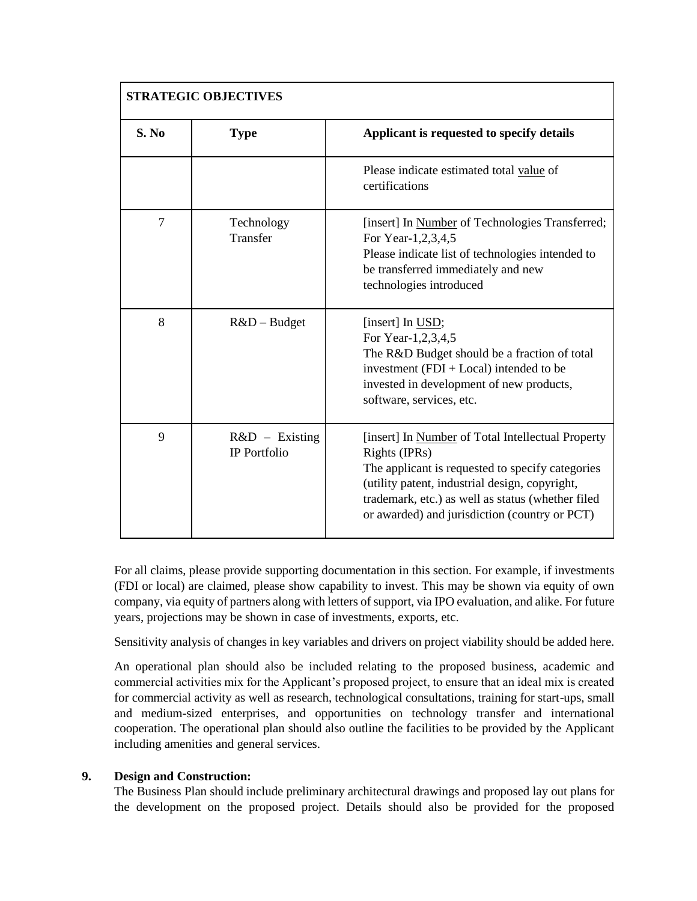| <b>STRATEGIC OBJECTIVES</b> |                                         |                                                                                                                                                                                                                                                                                |
|-----------------------------|-----------------------------------------|--------------------------------------------------------------------------------------------------------------------------------------------------------------------------------------------------------------------------------------------------------------------------------|
| S. No                       | <b>Type</b>                             | Applicant is requested to specify details                                                                                                                                                                                                                                      |
|                             |                                         | Please indicate estimated total value of<br>certifications                                                                                                                                                                                                                     |
| $\overline{7}$              | Technology<br>Transfer                  | [insert] In Number of Technologies Transferred;<br>For Year-1,2,3,4,5<br>Please indicate list of technologies intended to<br>be transferred immediately and new<br>technologies introduced                                                                                     |
| 8                           | $R&D - Budget$                          | [insert] In USD;<br>For Year-1,2,3,4,5<br>The R&D Budget should be a fraction of total<br>investment $(FDI + Local)$ intended to be<br>invested in development of new products,<br>software, services, etc.                                                                    |
| 9                           | $R&D$ – Existing<br><b>IP</b> Portfolio | [insert] In Number of Total Intellectual Property<br>Rights (IPRs)<br>The applicant is requested to specify categories<br>(utility patent, industrial design, copyright,<br>trademark, etc.) as well as status (whether filed<br>or awarded) and jurisdiction (country or PCT) |

For all claims, please provide supporting documentation in this section. For example, if investments (FDI or local) are claimed, please show capability to invest. This may be shown via equity of own company, via equity of partners along with letters of support, via IPO evaluation, and alike. For future years, projections may be shown in case of investments, exports, etc.

Sensitivity analysis of changes in key variables and drivers on project viability should be added here.

An operational plan should also be included relating to the proposed business, academic and commercial activities mix for the Applicant's proposed project, to ensure that an ideal mix is created for commercial activity as well as research, technological consultations, training for start-ups, small and medium-sized enterprises, and opportunities on technology transfer and international cooperation. The operational plan should also outline the facilities to be provided by the Applicant including amenities and general services.

# **9. Design and Construction:**

The Business Plan should include preliminary architectural drawings and proposed lay out plans for the development on the proposed project. Details should also be provided for the proposed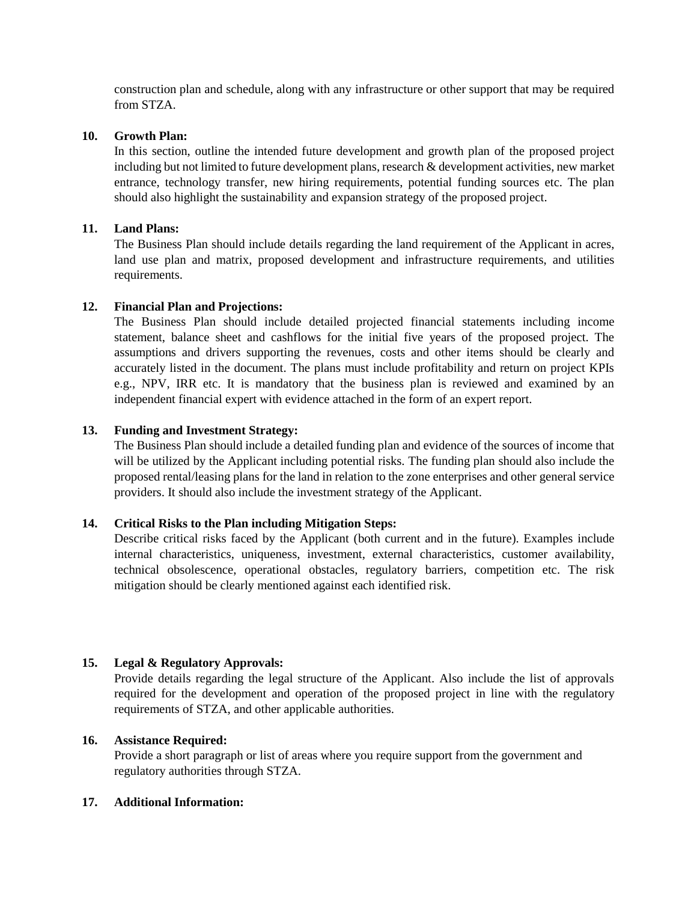construction plan and schedule, along with any infrastructure or other support that may be required from STZA.

## **10. Growth Plan:**

In this section, outline the intended future development and growth plan of the proposed project including but not limited to future development plans, research & development activities, new market entrance, technology transfer, new hiring requirements, potential funding sources etc. The plan should also highlight the sustainability and expansion strategy of the proposed project.

## **11. Land Plans:**

The Business Plan should include details regarding the land requirement of the Applicant in acres, land use plan and matrix, proposed development and infrastructure requirements, and utilities requirements.

## **12. Financial Plan and Projections:**

The Business Plan should include detailed projected financial statements including income statement, balance sheet and cashflows for the initial five years of the proposed project. The assumptions and drivers supporting the revenues, costs and other items should be clearly and accurately listed in the document. The plans must include profitability and return on project KPIs e.g., NPV, IRR etc. It is mandatory that the business plan is reviewed and examined by an independent financial expert with evidence attached in the form of an expert report.

## **13. Funding and Investment Strategy:**

The Business Plan should include a detailed funding plan and evidence of the sources of income that will be utilized by the Applicant including potential risks. The funding plan should also include the proposed rental/leasing plans for the land in relation to the zone enterprises and other general service providers. It should also include the investment strategy of the Applicant.

## **14. Critical Risks to the Plan including Mitigation Steps:**

Describe critical risks faced by the Applicant (both current and in the future). Examples include internal characteristics, uniqueness, investment, external characteristics, customer availability, technical obsolescence, operational obstacles, regulatory barriers, competition etc. The risk mitigation should be clearly mentioned against each identified risk.

# **15. Legal & Regulatory Approvals:**

Provide details regarding the legal structure of the Applicant. Also include the list of approvals required for the development and operation of the proposed project in line with the regulatory requirements of STZA, and other applicable authorities.

# **16. Assistance Required:**

Provide a short paragraph or list of areas where you require support from the government and regulatory authorities through STZA.

## **17. Additional Information:**